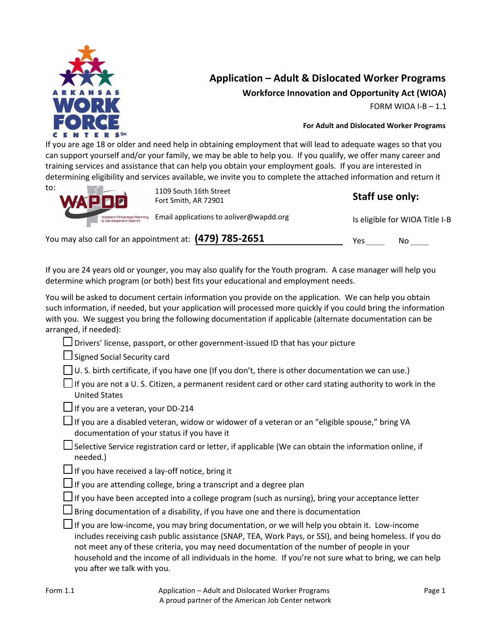

# **Application – Adult & Dislocated Worker Programs Workforce Innovation and Opportunity Act (WIOA)**

FORM WIOA I-B  $-1.1$ 

### **For Adult and Dislocated Worker Programs**

If you are age 18 or older and need help in obtaining employment that will lead to adequate wages so that you can support yourself and/or your family, we may be able to help you. If you qualify, we offer many career and training services and assistance that can help you obtain your employment goals. If you are interested in determining eligibility and services available, we invite you to complete the attached information and return it

| to:<br>WAPDD                                        | 1109 South 16th Street<br>Fort Smith, AR 72901            |     | Staff use only:                |  |
|-----------------------------------------------------|-----------------------------------------------------------|-----|--------------------------------|--|
| Western Arkansas Planning<br>& Development District | Email applications to aoliver@wapdd.org                   |     | Is eligible for WIOA Title I-B |  |
|                                                     | You may also call for an appointment at: $(479)$ 785-2651 | Yes | No                             |  |

If you are 24 years old or younger, you may also qualify for the Youth program. A case manager will help you determine which program (or both) best fits your educational and employment needs.

You will be asked to document certain information you provide on the application. We can help you obtain such information, if needed, but your application will processed more quickly if you could bring the information with you. We suggest you bring the following documentation if applicable (alternate documentation can be arranged, if needed):

 $\Box$  Drivers' license, passport, or other government-issued ID that has your picture

Signed Social Security card

 $\Box$  U. S. birth certificate, if you have one (If you don't, there is other documentation we can use.)

| If you are not a U. S. Citizen, a permanent resident card or other card stating authority to work in the |  |
|----------------------------------------------------------------------------------------------------------|--|
| <b>United States</b>                                                                                     |  |

 $\Box$  If you are a veteran, your DD-214

| If you are a disabled veteran, widow or widower of a veteran or an "eligible spouse," bring VA |  |  |
|------------------------------------------------------------------------------------------------|--|--|
| documentation of your status if you have it                                                    |  |  |

|  | $\Box$ Selective Service registration card or letter, if applicable (We can obtain the information online, if |  |
|--|---------------------------------------------------------------------------------------------------------------|--|
|  | needed.)                                                                                                      |  |

 $\Box$  If you have received a lay-off notice, bring it

 $\Box$  If you are attending college, bring a transcript and a degree plan

 $\Box$  If you have been accepted into a college program (such as nursing), bring your acceptance letter

 $\Box$  Bring documentation of a disability, if you have one and there is documentation

| If you are low-income, you may bring documentation, or we will help you obtain it. Low-income           |
|---------------------------------------------------------------------------------------------------------|
| includes receiving cash public assistance (SNAP, TEA, Work Pays, or SSI), and being homeless. If you do |
| not meet any of these criteria, you may need documentation of the number of people in your              |
| household and the income of all individuals in the home. If you're not sure what to bring, we can help  |
| you after we talk with you.                                                                             |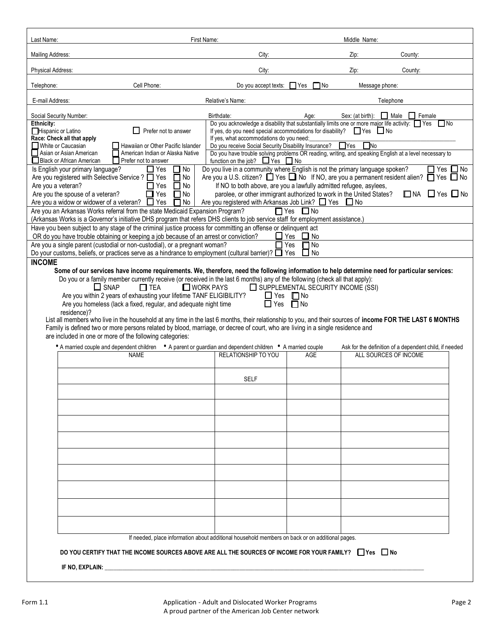| Last Name:                                                                                                                                                                                                                                                                                                                                                                                                                                                                                                                                                                                                                                                   | First Name:                                                                                                                                                                        |                   | Middle Name:              |                                                        |                   |
|--------------------------------------------------------------------------------------------------------------------------------------------------------------------------------------------------------------------------------------------------------------------------------------------------------------------------------------------------------------------------------------------------------------------------------------------------------------------------------------------------------------------------------------------------------------------------------------------------------------------------------------------------------------|------------------------------------------------------------------------------------------------------------------------------------------------------------------------------------|-------------------|---------------------------|--------------------------------------------------------|-------------------|
| Mailing Address:                                                                                                                                                                                                                                                                                                                                                                                                                                                                                                                                                                                                                                             | City:                                                                                                                                                                              |                   | Zip:                      | County:                                                |                   |
| Physical Address:                                                                                                                                                                                                                                                                                                                                                                                                                                                                                                                                                                                                                                            | City:                                                                                                                                                                              |                   | Zip:                      | County:                                                |                   |
| Cell Phone:<br>Telephone:                                                                                                                                                                                                                                                                                                                                                                                                                                                                                                                                                                                                                                    | Do you accept texts:                                                                                                                                                               | $\Box$ Yes<br>No⊓ | Message phone:            |                                                        |                   |
| E-mail Address:                                                                                                                                                                                                                                                                                                                                                                                                                                                                                                                                                                                                                                              | Relative's Name:                                                                                                                                                                   |                   |                           | Telephone                                              |                   |
| Social Security Number:                                                                                                                                                                                                                                                                                                                                                                                                                                                                                                                                                                                                                                      | Birthdate:                                                                                                                                                                         | Age:              | Sex: (at birth):          | $\Box$ Male<br>$\Box$ Female                           |                   |
| Ethnicity:<br>Prefer not to answer<br>Hispanic or Latino<br>ΙI                                                                                                                                                                                                                                                                                                                                                                                                                                                                                                                                                                                               | Do you acknowledge a disability that substantially limits one or more major life activity: Ves<br>If yes, do you need special accommodations for disability? $\Box$ Yes $\Box$ No  |                   |                           | l INo                                                  |                   |
| Race: Check all that apply<br>□ White or Caucasian<br>Hawaiian or Other Pacific Islander                                                                                                                                                                                                                                                                                                                                                                                                                                                                                                                                                                     | If yes, what accommodations do you need:<br>Do you receive Social Security Disability Insurance?                                                                                   |                   | $\Box$ Yes<br><b>T</b> No |                                                        |                   |
| Asian or Asian American<br>American Indian or Alaska Native<br>Black or African American<br>Prefer not to answer                                                                                                                                                                                                                                                                                                                                                                                                                                                                                                                                             | Do you have trouble solving problems OR reading, writing, and speaking English at a level necessary to<br>function on the job? $\Box$ Yes $\Box$ No                                |                   |                           |                                                        |                   |
| Is English your primary language?<br>$\Box$ Yes<br>$\Box$ No<br>Are you registered with Selective Service ? □ Yes<br>$\Box$ No                                                                                                                                                                                                                                                                                                                                                                                                                                                                                                                               | Do you live in a community where English is not the primary language spoken?<br>Are you a U.S. citizen? $\Box$ Yes $\Box$ No If NO, are you a permanent resident alien? $\Box$ Yes |                   |                           | $\Box$ Yes                                             | ⊿ No<br>$\Box$ No |
| Yes<br>$\Box$ No<br>Are you a veteran?                                                                                                                                                                                                                                                                                                                                                                                                                                                                                                                                                                                                                       | If NO to both above, are you a lawfully admitted refugee, asylees,                                                                                                                 |                   |                           |                                                        |                   |
| Yes<br>$\Box$ No<br>Are you the spouse of a veteran?<br>Are you a widow or widower of a veteran? $\Box$ Yes<br>No                                                                                                                                                                                                                                                                                                                                                                                                                                                                                                                                            | parolee, or other immigrant authorized to work in the United States?<br>Are you registered with Arkansas Job Link? $\Box$ Yes $\Box$ No                                            |                   |                           | $\Box$ NA $\Box$ Yes $\Box$ No                         |                   |
| Are you an Arkansas Works referral from the state Medicaid Expansion Program?<br>(Arkansas Works is a Governor's initiative DHS program that refers DHS clients to job service staff for employment assistance.)                                                                                                                                                                                                                                                                                                                                                                                                                                             | $\Box$ Yes                                                                                                                                                                         | $\Box$ No         |                           |                                                        |                   |
| Have you been subject to any stage of the criminal justice process for committing an offense or delinquent act<br>OR do you have trouble obtaining or keeping a job because of an arrest or conviction?                                                                                                                                                                                                                                                                                                                                                                                                                                                      | $\Box$ Yes                                                                                                                                                                         | $\Box$ No         |                           |                                                        |                   |
| Are you a single parent (custodial or non-custodial), or a pregnant woman?                                                                                                                                                                                                                                                                                                                                                                                                                                                                                                                                                                                   |                                                                                                                                                                                    | l No<br>Yes       |                           |                                                        |                   |
| Do your customs, beliefs, or practices serve as a hindrance to employment (cultural barrier)? $\Box$ Yes<br><b>INCOME</b>                                                                                                                                                                                                                                                                                                                                                                                                                                                                                                                                    |                                                                                                                                                                                    | $\Box$ No         |                           |                                                        |                   |
| $\Box$ SNAP<br>$\Box$ WORK PAYS<br>SUPPLEMENTAL SECURITY INCOME (SSI)<br>$\Box$ TEA<br>Are you within 2 years of exhausting your lifetime TANF ELIGIBILITY?<br>$\Box$ Yes $\Box$ No<br>Are you homeless (lack a fixed, regular, and adequate night time<br>$\Box$ Yes<br>$\Box$ No<br>residence)?<br>List all members who live in the household at any time in the last 6 months, their relationship to you, and their sources of income FOR THE LAST 6 MONTHS<br>Family is defined two or more persons related by blood, marriage, or decree of court, who are living in a single residence and<br>are included in one or more of the following categories: |                                                                                                                                                                                    |                   |                           |                                                        |                   |
| • A married couple and dependent children . A parent or guardian and dependent children . A married couple<br><b>NAME</b>                                                                                                                                                                                                                                                                                                                                                                                                                                                                                                                                    | <b>RELATIONSHIP TO YOU</b>                                                                                                                                                         | <b>AGE</b>        | ALL SOURCES OF INCOME     | Ask for the definition of a dependent child, if needed |                   |
|                                                                                                                                                                                                                                                                                                                                                                                                                                                                                                                                                                                                                                                              |                                                                                                                                                                                    |                   |                           |                                                        |                   |
|                                                                                                                                                                                                                                                                                                                                                                                                                                                                                                                                                                                                                                                              | <b>SELF</b>                                                                                                                                                                        |                   |                           |                                                        |                   |
|                                                                                                                                                                                                                                                                                                                                                                                                                                                                                                                                                                                                                                                              |                                                                                                                                                                                    |                   |                           |                                                        |                   |
|                                                                                                                                                                                                                                                                                                                                                                                                                                                                                                                                                                                                                                                              |                                                                                                                                                                                    |                   |                           |                                                        |                   |
|                                                                                                                                                                                                                                                                                                                                                                                                                                                                                                                                                                                                                                                              |                                                                                                                                                                                    |                   |                           |                                                        |                   |
|                                                                                                                                                                                                                                                                                                                                                                                                                                                                                                                                                                                                                                                              |                                                                                                                                                                                    |                   |                           |                                                        |                   |
|                                                                                                                                                                                                                                                                                                                                                                                                                                                                                                                                                                                                                                                              |                                                                                                                                                                                    |                   |                           |                                                        |                   |
|                                                                                                                                                                                                                                                                                                                                                                                                                                                                                                                                                                                                                                                              |                                                                                                                                                                                    |                   |                           |                                                        |                   |
|                                                                                                                                                                                                                                                                                                                                                                                                                                                                                                                                                                                                                                                              |                                                                                                                                                                                    |                   |                           |                                                        |                   |
|                                                                                                                                                                                                                                                                                                                                                                                                                                                                                                                                                                                                                                                              |                                                                                                                                                                                    |                   |                           |                                                        |                   |
|                                                                                                                                                                                                                                                                                                                                                                                                                                                                                                                                                                                                                                                              |                                                                                                                                                                                    |                   |                           |                                                        |                   |
|                                                                                                                                                                                                                                                                                                                                                                                                                                                                                                                                                                                                                                                              |                                                                                                                                                                                    |                   |                           |                                                        |                   |
|                                                                                                                                                                                                                                                                                                                                                                                                                                                                                                                                                                                                                                                              | If needed, place information about additional household members on back or on additional pages.                                                                                    |                   |                           |                                                        |                   |
| DO YOU CERTIFY THAT THE INCOME SOURCES ABOVE ARE ALL THE SOURCES OF INCOME FOR YOUR FAMILY? □ Yes □ No                                                                                                                                                                                                                                                                                                                                                                                                                                                                                                                                                       |                                                                                                                                                                                    |                   |                           |                                                        |                   |
| IF NO, EXPLAIN: And All And All And All And All And All And All And All And All And All And All And All And A                                                                                                                                                                                                                                                                                                                                                                                                                                                                                                                                                |                                                                                                                                                                                    |                   |                           |                                                        |                   |
|                                                                                                                                                                                                                                                                                                                                                                                                                                                                                                                                                                                                                                                              |                                                                                                                                                                                    |                   |                           |                                                        |                   |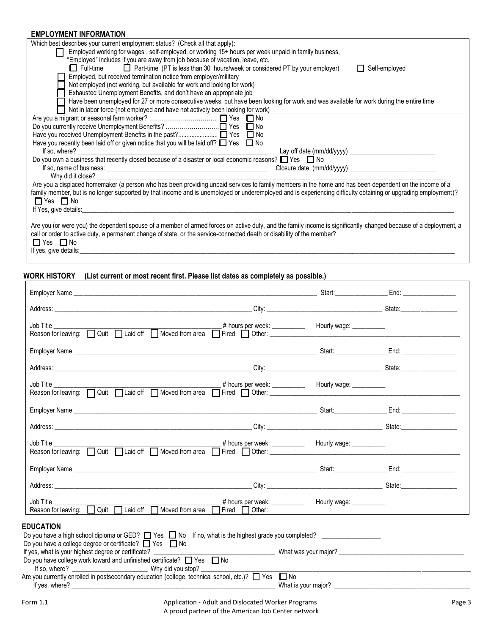## **EMPLOYMENT INFORMATION**

| LIVIF LU I IVILIN I TINI UNIVIA I IUIN                                                                                                                           |  |  |  |
|------------------------------------------------------------------------------------------------------------------------------------------------------------------|--|--|--|
| Which best describes your current employment status? (Check all that apply):                                                                                     |  |  |  |
| Employed working for wages, self-employed, or working 15+ hours per week unpaid in family business,<br>LΙ                                                        |  |  |  |
| "Employed" includes if you are away from job because of vacation, leave, etc.                                                                                    |  |  |  |
| □ Full-time □ Part-time (PT is less than 30 hours/week or considered PT by your employer)<br>$\Box$ Self-employed                                                |  |  |  |
| Employed, but received termination notice from employer/military                                                                                                 |  |  |  |
| Not employed (not working, but available for work and looking for work)                                                                                          |  |  |  |
| Exhausted Unemployment Benefits, and don't have an appropriate job                                                                                               |  |  |  |
| Have been unemployed for 27 or more consecutive weeks, but have been looking for work and was available for work during the entire time                          |  |  |  |
| Not in labor force (not employed and have not actively been looking for work)                                                                                    |  |  |  |
|                                                                                                                                                                  |  |  |  |
| Do you currently receive Unemployment Benefits? □ Yes □ No                                                                                                       |  |  |  |
|                                                                                                                                                                  |  |  |  |
| Have you recently been laid off or given notice that you will be laid off? $\Box$ Yes $\Box$ No                                                                  |  |  |  |
|                                                                                                                                                                  |  |  |  |
| Do you own a business that recently closed because of a disaster or local economic reasons? $\Box$ Yes $\Box$ No                                                 |  |  |  |
|                                                                                                                                                                  |  |  |  |
|                                                                                                                                                                  |  |  |  |
| Are you a displaced homemaker (a person who has been providing unpaid services to family members in the home and has been dependent on the income of a           |  |  |  |
| family member, but is no longer supported by that income and is unemployed or underemployed and is experiencing difficulty obtaining or upgrading employment)?   |  |  |  |
| $\Box$ Yes $\Box$ No                                                                                                                                             |  |  |  |
| If Yes, give details:                                                                                                                                            |  |  |  |
|                                                                                                                                                                  |  |  |  |
| Are you (or were you) the dependent spouse of a member of armed forces on active duty, and the family income is significantly changed because of a deployment, a |  |  |  |
| call or order to active duty, a permanent change of state, or the service-connected death or disability of the member?                                           |  |  |  |
| $\Box$ Yes $\Box$ No                                                                                                                                             |  |  |  |
| If yes, give details:                                                                                                                                            |  |  |  |

#### **WORK HISTORY (List current or most recent first. Please list dates as completely as possible.)**

| <b>EDUCATION</b><br>Do you have a high school diploma or GED? $\Box$ Yes $\Box$ No If no, what is the highest grade you completed?<br>Do you have a college degree or certificate? $\Box$ Yes $\Box$ No |  |  |  |  |
|---------------------------------------------------------------------------------------------------------------------------------------------------------------------------------------------------------|--|--|--|--|
| Do you have college work toward and unfinished certificate? $\Box$ Yes $\Box$ No<br>the contract of the contract of the contract of the contract of the contract of the contract of the contract of     |  |  |  |  |
| Are you currently enrolled in postsecondary education (college, technical school, etc.)? $\Box$ Yes $\Box$ No                                                                                           |  |  |  |  |